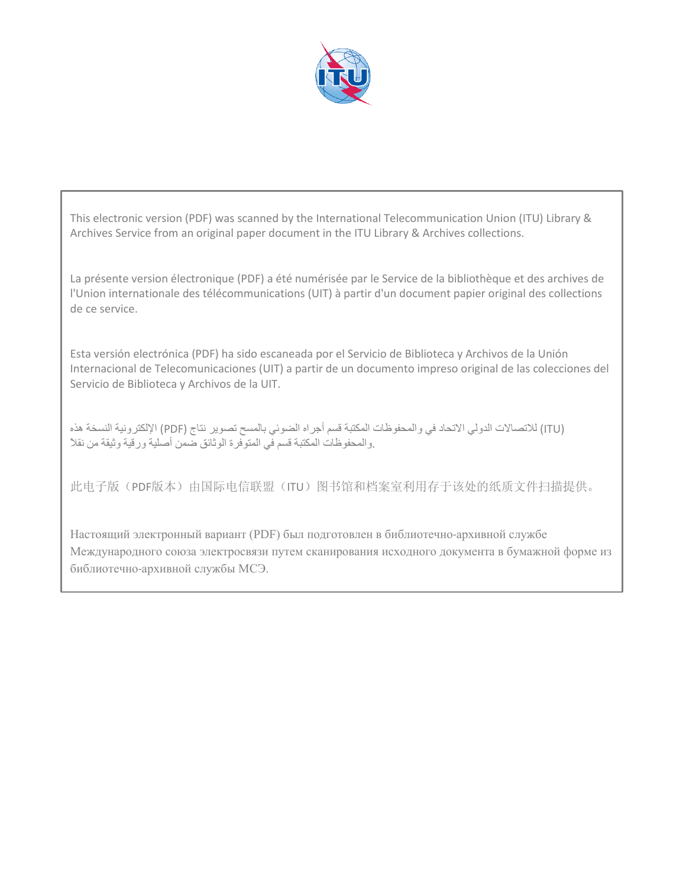

This electronic version (PDF) was scanned by the International Telecommunication Union (ITU) Library & Archives Service from an original paper document in the ITU Library & Archives collections.

La présente version électronique (PDF) a été numérisée par le Service de la bibliothèque et des archives de l'Union internationale des télécommunications (UIT) à partir d'un document papier original des collections de ce service.

Esta versión electrónica (PDF) ha sido escaneada por el Servicio de Biblioteca y Archivos de la Unión Internacional de Telecomunicaciones (UIT) a partir de un documento impreso original de las colecciones del Servicio de Biblioteca y Archivos de la UIT.

(ITU (للاتصالات الدولي الاتحاد في والمحفوظات المكتبة قسم أجراه الضوئي بالمسح تصوير نتاج (PDF (الإلكترونية النسخة هذه .والمحفوظات المكتبة قسم في المتوفرة الوثائق ضمن أصلية ورقية وثيقة من نقلاً

此电子版(PDF版本)由国际电信联盟(ITU)图书馆和档案室利用存于该处的纸质文件扫描提供。

Настоящий электронный вариант (PDF) был подготовлен в библиотечно-архивной службе Международного союза электросвязи путем сканирования исходного документа в бумажной форме из библиотечно-архивной службы МСЭ.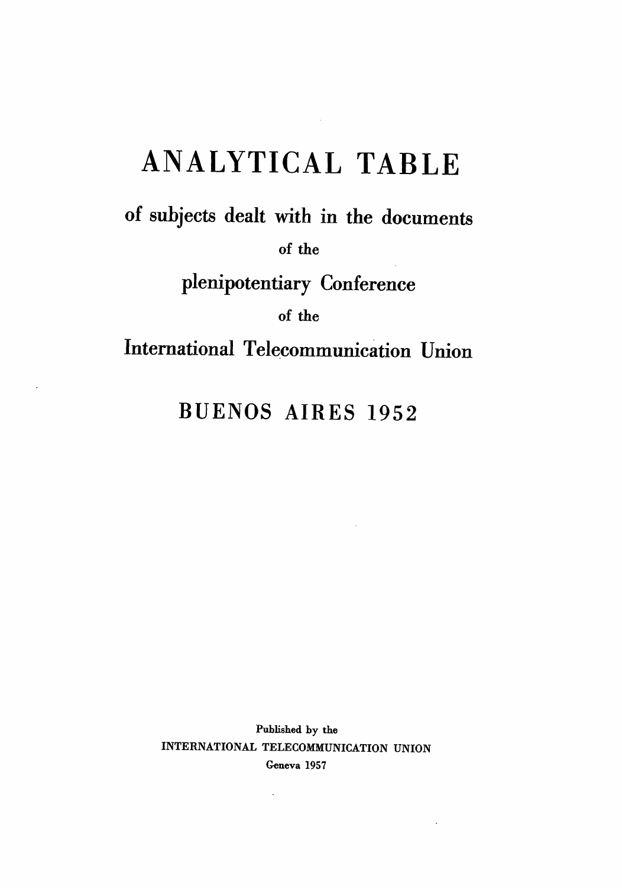# ANALYTICAL TABLE

of subjects dealt with in the documents

**of the** 

plenipotentiary Conference

**of the** 

# **BUENOS AIRES 1952**

Published by the INTERNATIONAL TELECOMMUNICATION UNION Geneva 1957

ä,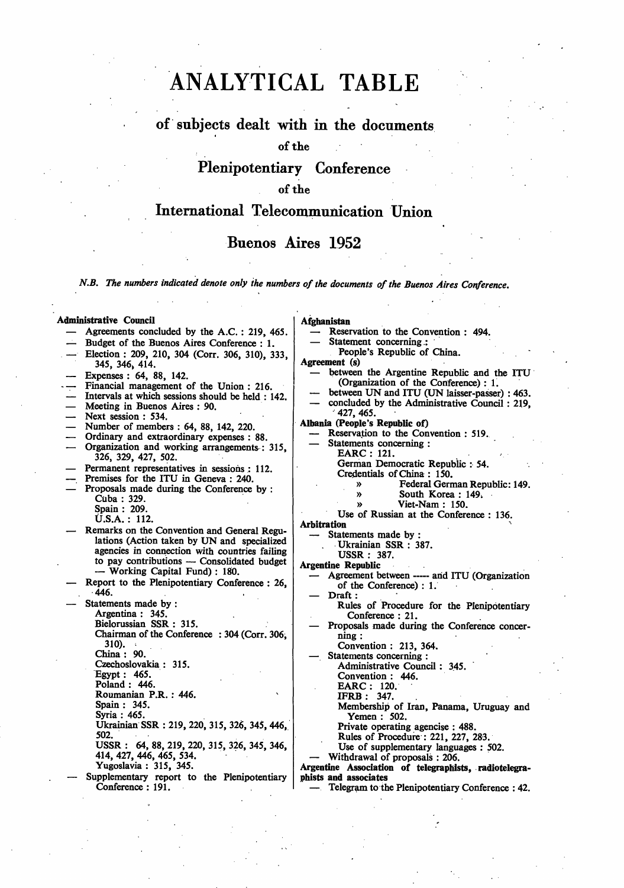# **ANALYTICAL TABLE**

## **of subjects dealt with in the documents**

#### **of the**

# **Plenipotentiary Conference**

#### **of the**

## **International Telecommunication Union**

### **Buenos Aires 1952**

*N.B. The numbers indicated denote only ihe numbers of the documents of the Buenos Aires Conference.* 

#### **Administrative Council**

- Agreements concluded by the A.C. : 219, 465.
- Budget of the Buenos Aires Conference : 1.
- Election : 209, 210, 304 (Corr. 306, 310), 333, 345, 346> 414.
- Expenses : 64, 88, 142.
- Financial management of the Union : 216.
- Intervals at which sessions should be held : 142.
- Meeting in Buenos Aires : 90.
- Next session : 534.
- Number of members : 64, 88, 142, 220.
- Ordinary and extraordinary expenses : 88.
- Organization and working arrangements : 315, 326, 329, 427, 502.
- Permanent representatives in sessions : 112.
- Premises for the ITU in Geneva : 240.
- Proposals made during the Conference by : Cuba : 329.
	- Spain : 209.

U.S.A. : 112.

- Remarks on the Convention and General Regulations (Action taken by UN and specialized agencies in connection with countries failing to pay contributions — Consolidated budget — Working Capital Fund) : 180.
- Report to the Plenipotentiary Conference : 26, 446.

Statements made by : Argentina : 345. Bielorussian SSR : 315. Chairman of the Conference : 304 (Corr. 306,  $310$ . China : 90. Czechoslovakia : 315. Egypt: 465. Poland : 446. Roumanian P.R. : 446. Spain : 345. Syria : 465. Ukrainian SSR : 219, 220, 315, 326, 345, 446, 502. USSR : 64, 88, 219, 220, 315, 326, 345, 346, 414, 427, 446, 465, 534.

Yugoslavia : 315, 345.

— Supplementary report to the Plenipotentiary Conference : 191.

#### **Afghanistan**

- Reservation to the Convention : 494. Statement concerning :
- 
- People's Republic of China. **Agreement** (s)
	- between the Argentine Republic and the ITU (Organization of the Conference) : 1.
	- between UN and ITU (UN laisser-passer) : 463.
	- concluded by the Administrative Council: 219, 427, 465.
- **Albania (People's Republic of)** 
	- Reservation to the Convention : 519.
	- Statements concerning :
		- EARC : 121. German Democratic Republic : 54. Credentials of China : 150.
			-
			- » Federal German Republic: 149.<br>
			South Korea · 149.
			- » South Korea : 149.<br>
			» Viet-Nam : 150. » Viet-Nam : 150.
			- Use of Russian at the Conference : 136.

**Arbitration** 

Statements made by :

Ukrainian SSR : 387.

USSR : 387.

**Argentine Republic** 

- Agreement between ----- and ITU (Organization of the Conference) : 1.
- Draft : Rules of Procedure for the Plenipotentiary
- Conference : 21. — Proposals made during the Conference concer-
- ning :
- 
- Statements concerning :
	-
	-

Membership of Iran, Panama, Uruguay and Yemen : 502.

Private operating agencise : 488.

Rules of Procedure : 221, 227, 283.

Use of supplementary languages : 502.

— Withdrawal of proposals : 206.

**Argentine Association of telegraphists, radiotelegraphists and associates** 

— Telegram to the Plenipotentiary Conference : 42.

- -
	- Convention : 213, 364.
	-
	- Administrative Council : 345. Convention : 446.
	- EARC : 120.
	- IFRB : 347.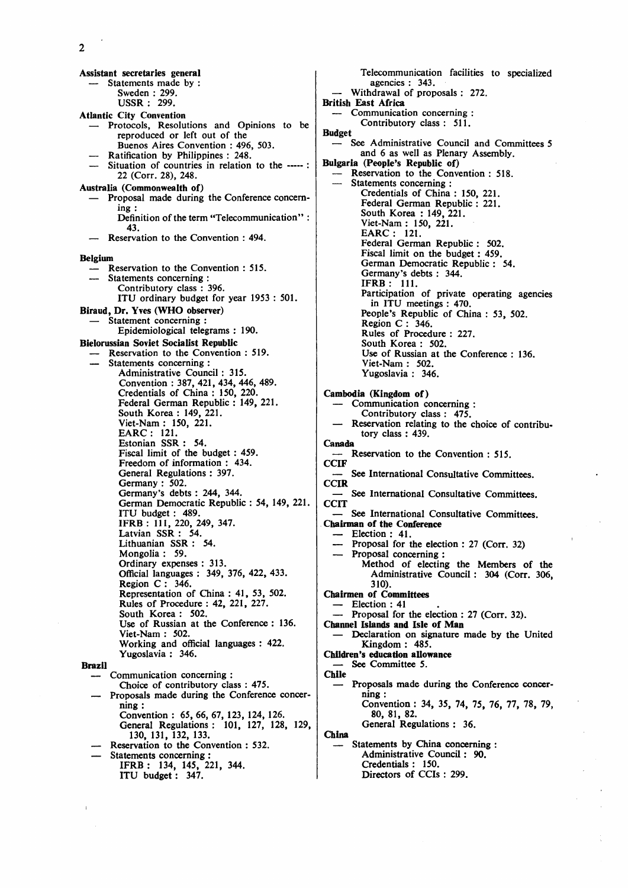**Assistant secretaries general — Statements made by : Sweden : 299. USSR : 299. Atlantic City Convention — Protocols, Resolutions and Opinions to be reproduced or left out of the Buenos Aires Convention : 496, 503. — Ratification by Philippines : 248.**  Situation of countries in relation to the ----- : **22 (Corr. 28), 248. Australia (Commonwealth of) — Proposal made during the Conference concerning : Definition of the term "Telecommunication" : 43. — Reservation to the Convention : 494. Belgium — Reservation to the Convention : 515. — Statements concerning : Contributory class : 396. ITU ordinary budget for year 1953 : 501. Biraud, Dr. Yves (WHO observer) — Statement concerning : Epidemiological telegrams : 190. Bielorussian Soviet Socialist Republic — Reservation to the Convention : 519. — Statements concerning : Administrative Council : 315. Convention : 387, 421, 434, 446, 489. Credentials of China : 150, 220. Federal German Republic : 149, 221. South Korea : 149, 221. Viet-Nam : 150, 221. EARC : 121. Estonian SSR : 54. Fiscal limit of the budget: 459. Freedom of information : 434. General Regulations : 397. Germany : 502. Germany's debts : 244, 344. German Democratic Republic : 54, 149, 221. ITU budget : 489. IFRB : 111, 220, 249, 347. Latvian SSR : 54. Lithuanian SSR : 54. Mongolia : 59. Ordinary expenses : 313. Official languages : 349, 376, 422, 433. Region C : 346. Representation of China : 41, 53, 502. Rules of Procedure : 42, 221, 227. South Korea : 502. Use of Russian at the Conference : 136. Viet-Nam : 502. Working and official languages : 422. Yugoslavia : 346. Brazil — Communication concerning : Choice of contributory class : 475. — Proposals made during the Conference concerning : Convention : 65, 66, 67, 123, 124, 126. General Regulations : 101, 127, 128, 129, 130, 131, 132, 133. — Reservation to the Convention : 532.** 

**— Statements concerning : IFRB : 134, 145, 221, 344. ITU budget: 347.** 

**Telecommunication facilities to specialized agencies : 343. — Withdrawal of proposals : 272. British East Africa — Communication concerning : Contributory class : 511. Budget — See Administrative Council and Committees 5 and 6 as well as Plenary Assembly. Bulgaria (People's Republic of) — Reservation to the Convention : 518. — Statements concerning : Credentials of China : 150, 221. Federal German Republic : 221.**  South Korea : 149, 221. **Viet-Nam : 150, 221. EARC : 121. Federal German Republic : 502. Fiscal limit on the budget: 459. German Democratic Republic : 54. Germany's debts : 344. IFRB: 111. Participation of private operating agencies in ITU meetings : 470. People's Republic of China : 53, 502. Region C : 346. Rules of Procedure : 227. South Korea : 502. Use of Russian at the Conference : 136. Viet-Nam : 502. Yugoslavia : 346. Cambodia (Kingdom of) — Communication concerning : Contributory class : 475. — Reservation relating to the choice of contributory class : 439. Canada — Reservation to the Convention : 515. CCIF — See International Consultative Committees. CCIR — See International Consultative Committees. COT — See International Consultative Committees. Chairman of the Conference — Election : 41. — Proposal for the election : 27 (Corr. 32) — Proposal concerning : Method of electing the Members of the Administrative Council : 304 (Corr. 306, 310). Chairmen of Committees — Election : 41 — Proposal for the election : 27 (Corr. 32). Channel Islands and Isle of Man — Declaration on signature made by the United Kingdom : 485. Children's education allowance**  See Committee 5. **Chile — Proposals made during the Conference concerning : Convention : 34, 35, 74, 75, 76, 77, 78, 79, 80, 81, 82. General Regulations : 36. China — Statements by China concerning : Administrative Council: 90.** 

**Credentials : 150. Directors of CCIs : 299.**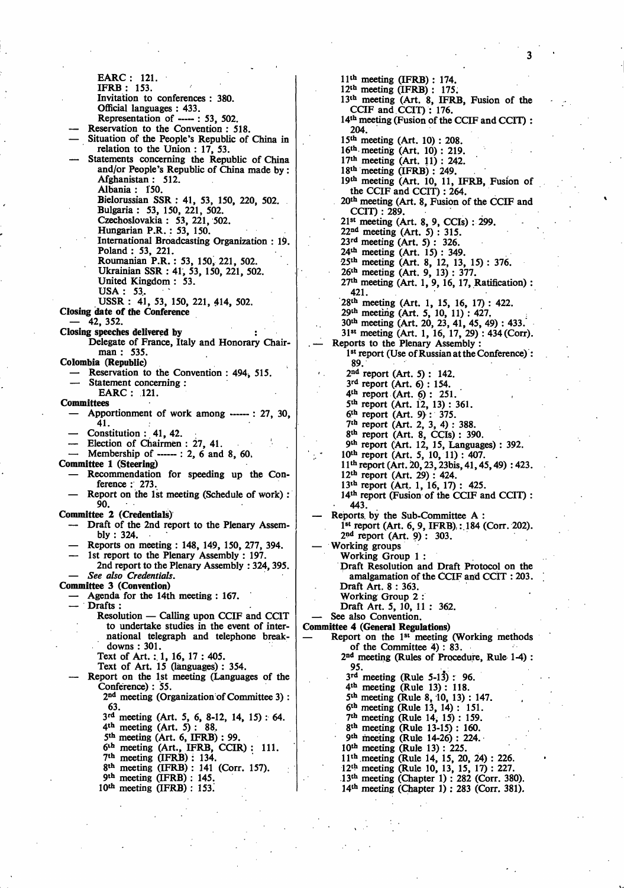EARC : 121. IFRB : 153. Invitation to conferences : 380. Official languages : 433. Representation of ----- : 53, 502. Reservation to the Convention : 518. — Situation of the People's Republic of China in relation to the Union : 17, 53. Statements concerning the Republic of China and/or People's Republic of China made by : Afghanistan : 512. Albania : 150. Bielorussian SSR : 41, 53, 150, 220, 502. Bulgaria : 53, 150, 221, 502. Czechoslovakia: 53,221,502. Hungarian P.R. : 53, 150. International Broadcasting Organization : 19. Poland : 53, 221. Roumanian P.R. : 53, 150, 221, 502. Ukrainian SSR : 41, 53, 150, 221, 502. United Kingdom : 53.  $USA: 53.$ USSR : 41, 53, 150, 221, 414, 502. **Closing** idate **of the Conference —** 42, 352. **Closing speeches delivered by** Delegate of France, Italy and Honorary Chairman : 535. **Colombia (Republic)**  Reservation to the Convention : 494, 515. Statement concerning : EARC : .121. **Committees**  Apportionment of work among ------ : 27, 30, 41.  $-$  Constitution : 41, 42. — Election of Chairmen : 27, 41. Membership of  $---: 2, 6$  and 8, 60. **Committee 1 (Steering)**  — Recommendation for speeding up the Conference : 273. Report on the 1st meeting (Schedule of work) : 90. **Committee 2 (Credentials)**  — Draft of the 2nd report to the Plenary Assembly : 324. — Reports on meeting : 148, 149, 150, 277, 394. 1st report to the Plenary Assembly : 197. 2nd report to the Plenary Assembly : 324,395. **—** *See also Credentials.*  **Committee 3 (Convention)**  — Agenda for the 14th meeting : 167. — Drafts : Resolution — Calling upon CCIF and CC1T to undertake studies in the event of international telegraph and telephone breakdowns : 301. Text of Art. : 1, 16, 17 : 405. Text of Art. 15 (languages) : 354. — Report on the 1st meeting (Languages of the Conference) : 55. 2 nd meeting (Organization of Committee 3) : 63. 3 rd meeting (Art. 5, 6, 8-12, 14, 15) : 64. 4 th meeting (Art. 5) : 88. 5 th meeting (Art. 6, **IFRB)** : 99. 6<sup>th</sup> meeting (Art., IFRB, CCIR): 111. 7 th meeting (IFRB) : 134. 8 th meeting (IFRB) : 141 (Corr. 157). 9 th meeting (IFRB) : 145. 10th meeting (IFRB) : 153.

11th meeting (IFRB) : 174. 12th meeting (IFRB) : 175. 13<sup>th</sup> meeting (Art. 8, IFRB, Fusion of the CCIF and CCIT): 176. 14th meeting (Fusion of the CCIF and CCIT) : 204. 15th meeting (Art. 10) : 208. 16th meeting (Art. 10): 219. 17th meeting (Art. 11) : 242. 18th meeting (IFRB) : 249. 19th meeting (Art. 10, 11, IFRB, Fusion of the CCIF and CCIT): 264. 20th meeting (Art. 8, Fusion of the CCIF and CCIT) : 289. 21" meeting (Art. 8, 9, CCIs) : 299. 22nd meeting (Art. 5) : 315. 23rd meeting (Art. 5) : 326. 24th meeting (Art. 15) : 349. 25<sup>th</sup> meeting (Art. 8, 12, 13, 15) : 376.<br>26<sup>th</sup> meeting (Art. 9, 13) : 377.<br>27<sup>th</sup> meeting (Art. 1, 9, 16, 17, Ratification) : 421. 28<sup>th</sup> meeting (Art. 1, 15, 16, 17): 422.<br>29<sup>th</sup> meeting (Art. 5, 10, 11): 427.<br>30<sup>th</sup> meeting (Art. 20, 23, 41, 45, 49): 433. 31" meeting (Art. 1, 16, 17, 29) : 434 (Corr). Reports to the Plenary Assembly 1 st report (Use of Russian at the Conference) : 89. 2 nd report (Art. 5) : 142. 3 rd report (Art. 6) : 154. 4 th report (Art. 6) : 251. 5 th report (Art. 12, 13) : 361. 6 th report (Art. 9) : 375. 7 th report (Art. 2, 3, 4) : 388. 8 th report (Art. 8, CCIs) : 390. 9 th report (Art. 12, 15, Languages) : 392. 10th report (Art. 5, 10, 11) : 407. 11th report (Art. 20,23,23bis, 41,45,49) : 423. 12th report (Art. 29) : 424. 13<sup>th</sup> report (Art. 1, 16, 17): 425. 14<sup>th</sup> report (Fusion of the CCIF and CCIT) : • 443. — Reports, by the Sub-Committee A : 1<sup>st</sup> report (Art. 6, 9, IFRB) : 184 (Corr. 202).<br>2<sup>nd</sup> report (Art. 9) : 303. — Working groups Working Group 1 : Draft Resolution and Draft Protocol on the amalgamation of the CCIF and CCIT : 203. Draft Art. 8 : 363. Working Group 2 : Draft Art. 5, 10, 11 : 362. See also Convention. **Committee 4 (General Regulations)**   $-$  Report on the 1<sup>st</sup> meeting (Working methods of the Committee 4) : 83. 2 nd meeting (Rules of Procedure, Rule 1-4) : 95.  $3<sup>rd</sup>$  meeting (Rule 5-13): 96. 4 th meeting (Rule 13) : 118. 5 th meeting (Rule 8, 10, 13) : 147. 6 th meeting (Rule 13, 14) : 151. 7 th meeting (Rule 14, 15) : 159. 8 th meeting (Rule 13-15) : 160. 9 th meeting (Rule 14-26) : 224. 10th meeting (Rule 13) : 225. 11th meeting (Rule 14, 15, 20, 24) : 226. 12<sup>th</sup> meeting (Rule 10, 13, 15, 17) : 227. 13th meeting (Chapter 1) : 282 (Corr. 380). 14<sup>th</sup> meeting (Chapter 1): 283 (Corr. 381).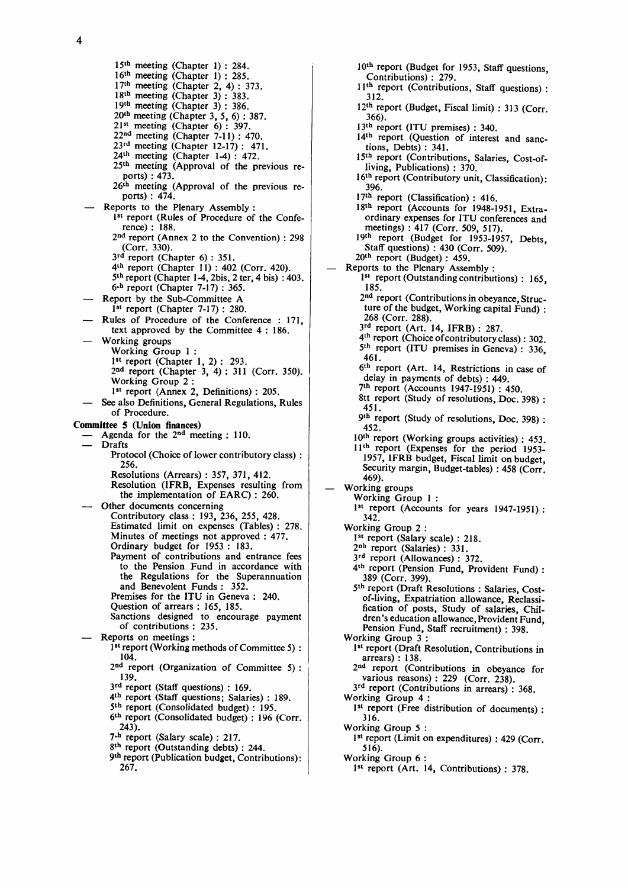$\overline{\mathbf{4}}$ 

15<sup>th</sup> meeting (Chapter 1): 284. 16th meeting (Chapter 1) : 285.  $17<sup>th</sup>$  meeting (Chapter 2, 4) : 373.  $18<sup>th</sup>$  meeting (Chapter 3): 383. 19th meeting (Chapter 3) : 386. 20th meeting (Chapter 3, 5, 6) : 387. 21st meeting (Chapter 6) : 397. 22nd meeting (Chapter 7-11) : 470.  $23<sup>rd</sup>$  meeting (Chapter 12-17): 471.  $24<sup>th</sup>$  meeting (Chapter 1-4): 472. 25th meeting (Approval of the previous reports) : 473. 26<sup>th</sup> meeting (Approval of the previous reports) : 474. Reports to the Plenary Assembly : 1<sup>st</sup> report (Rules of Procedure of the Conference) : 188. 2<sup>nd</sup> report (Annex 2 to the Convention) : 298 (Corr. 330). 3<sup>rd</sup> report (Chapter 6): 351. 4<sup>th</sup> report (Chapter 11) : 402 (Corr. 420). 5 th report (Chapter 1-4,2bis, 2 ter, 4 bis) : 403. 6-h report (Chapter 7-17) : 365. — Report by the Sub-Committee A 1<sup>st</sup> report (Chapter 7-17) : 280. — Rules of Procedure of the Conference : 171, text approved by the Committee 4 : 186. — Working groups Working Group 1 :  $1^{st}$  report (Chapter 1, 2): 293. 2nd report (Chapter 3, 4) : 311 (Corr. 350). Working Group 2 : 1 st report (Annex 2, Definitions) : 205. See also Definitions, General Regulations, Rules of Procedure. Committee 5 (Union finances) — Agenda for the  $2^{na}$  meeting : 110. — Drafts Protocol (Choice of lower contributory class) : 256. Resolutions (Arrears) : 357, 371, 412. Resolution (IFRB, Expenses resulting from the implementation of EARC) : 260. — Other documents concerning Contributory class : 193, 236, 255, 428. Estimated limit on expenses (Tables) : 278. Minutes of meetings not approved : 477. Ordinary budget for 1953 : 183. Payment of contributions and entrance fees to the Pension Fund in accordance with the Regulations for the Superannuation and Benevolent Funds : 352. Premises for the ITU in Geneva : 240. Question of arrears : 165, 185. Sanctions designed to encourage payment of contributions : 235. Reports on meetings : 1 st report (Working methods of Committee 5) : 104. 2<sup>nd</sup> report (Organization of Committee 5): 139. 3<sup>rd</sup> report (Staff questions) : 169. 4 th report (Staff questions; Salaries) : 189. 5<sup>th</sup> report (Consolidated budget) : 195. 6 th report (Consolidated budget) : 196 (Corr. 243). 7<sup>th</sup> report (Salary scale) : 217. 8 th report (Outstanding debts) : 244. 9 th report (Publication budget, Contributions): 267.

10<sup>th</sup> report (Budget for 1953, Staff questions, Contributions) : 279. 1<sup>1th</sup> report (Contributions, Staff questions) : 312. 12th report (Budget, Fiscal limit) : 313 (Corr. 366). 13th report (ITU premises) : 340. 14<sup>th</sup> report (Question of interest and sanctions, Debts) : 341. 15th report (Contributions, Salaries, Cost-ofliving, Publications) : 370. 16<sup>th</sup> report (Contributory unit, Classification): 396. 17<sup>th</sup> report (Classification) : 416. 18th report (Accounts for 1948-1951, Extraordinary expenses for ITU conferences and meetings) : 417 (Corr. 509, 517). 19th report (Budget for 1953-1957, Debts, Staff questions) : 430 (Corr. 509). 20th report (Budget) : 459. Reports to the Plenary Assembly : 1<sup>st</sup> report (Outstanding contributions) : 165, 185. 2<sup>nd</sup> report (Contributions in obeyance, Structure of the budget, Working capital Fund) : 268 (Corr. 288).  $3<sup>rd</sup>$  report (Art. 14, IFRB) : 287. 4<sup>th</sup> report (Choice of contributory class): 302. 5 th report (ITU premises in Geneva) : 336, 401.<br>.. 6 th report (Art. 14, Restrictions in case of delay in payments of debts) : 449. 7 th report (Accounts 1947-1951) : 450. 8tt report (Study of resolutions, Doc. 398):<br>451. 451.<br>.. 9 th report (Study of resolutions, Doc. 398) : 432.<br>..  $10^{th}$  report (Working groups activities) : 453. 11th report (Expenses for the period 1953- 1957, IFRB budget, Fiscal limit on budget, Security margin, Budget-tables) : 458 (Corr.<br>469). 407).<br>1. in c  $-$  working groups WOIKING GROUP 1:  $1^{31}$  report (Accounts for years 1947-1951):  $342.$ <br>Working Group 2: Working Group 2 : 1 st report (Salary scale) : 218.  $\frac{2}{2}$  $\frac{10}{10}$  report (Salaries) : 331.  $3^{ra}$  report (Allowances) : 372.  $4<sup>th</sup>$  report (Pension Fund, Provident Fund): 389 (Corr. 399). 5<sup>th</sup> report (Draft Resolutions : Salaries, Costof-living, Expatriation allowance, Reclassification of posts, Study of salaries, Children's education allowance, Provident Fund, Pension Fund, Staff recruitment) : 398. Working Group 3 1 st report (Draft Resolution, Contributions in arrears) : 138. 2 nd report (Contributions in obeyance for various reasons) : 229 (Corr. 238). 3<sup>rd</sup> report (Contributions in arrears): 368. Working Group 4 : 1 st report (Free distribution of documents) : 316. Working Group 5 : 1 st report (Limit on expenditures) : 429 (Corr. 516). Working Group 6 : 1 st report (Art. 14, Contributions) : 378.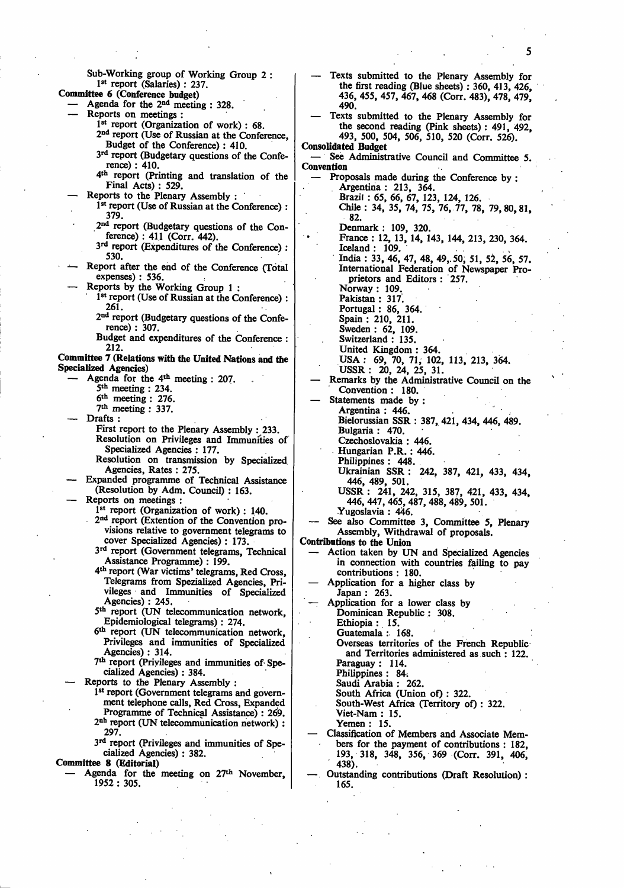Sub-Working group of Working Group 2 : 1 st report (Salaries) : 237. **Committee 6 (Conference budget)**  — Agenda for the 2nd meeting : 328. Reports on meetings : 1 st report (Organization of work) : 68. 2 nd report (Use of Russian at the Conference, Budget of the Conference) : 410. 3<sup>rd</sup> report (Budgetary questions of the Conference) : 410. 4 th report (Printing and translation of the Final Acts) : 529. — Reports to the Plenary Assembly : 1<sup>st</sup> report (Use of Russian at the Conference) : 379. 2<sup>nd</sup> report (Budgetary questions of the Conference) : 411 (Corr. 442). 3 rd report (Expenditures of the Conference) : 530. Report after the end of the Conference (Total expenses) : 536. — Reports by the Working Group 1 : 1<sup>st</sup> report (Use of Russian at the Conference) : 261. 2<sup>nd</sup> report (Budgetary questions of the Conference) : 307. Budget and expenditures of the Conference : 212. **Committee 7 (Relations with the United Nations and the Specialized Agencies)**  — Agenda for the 4th meeting : 207. 5 th meeting : 234.  $6<sup>th</sup>$  meeting : 276. 7 th meeting : 337. Drafts : First report to the Plenary Assembly : 233. Resolution on Privileges and Immunities of Specialized Agencies : 177. Resolution on transmission by Specialized Agencies, Rates : 275. — Expanded programme of Technical Assistance (Resolution by Adm. Council) : 163. Reports on meetings : 1<sup>st</sup> report (Organization of work) : 140. 2 nd report (Extention of the Convention provisions relative to government telegrams to cover Specialized Agencies): 173. 3 rd report (Government telegrams, Technical Assistance Programme) : 199. 4 th report (War victims' telegrams, Red Cross, Telegrams from Spezialized Agencies, Privileges and Immunities of Specialized Agencies) : 245. 5 th report (UN telecommunication network, Epidemiological telegrams) : 274. 6 th report (UN telecommunication network, Privileges and immunities of Specialized Agencies) : 314. 7 th report (Privileges and immunities of Specialized Agencies) : 384. — Reports to the Plenary Assembly : 1<sup>st</sup> report (Government telegrams and government telephone calls, Red Cross, Expanded Programme of Technical Assistance) : 269. 2 nh report (UN telecommunication network) : 297. 3<sup>rd</sup> report (Privileges and immunities of Specialized Agencies) : 382. **Committee 8 (Editorial)**  — Agenda for the meeting on 27th November, 1952 : 305. — Texts submitted to the Plenary Assembly for the first reading (Blue sheets) : 360, 413, 426, 436, 455, 457, 467, 468 (Corr. 483), 478, 479, 490. — Texts submitted to the Plenary Assembly for the second reading (Pink sheets) : 491, 492, 493, 500, 504, 506, 510, 520 (Corr. 526). **Consolidated Budget**  See Administrative Council and Committee 5. **Convention**  Proposals made during the Conference by : Argentina : 213, 364. Brazil : 65, 66, 67, 123, 124, 126. Chile : 34, 35, 74, 75, 76, 77, 78, 79,80,81, 82. Denmark : 109, 320. France : 12, 13, 14, 143, 144, 213, 230, 364. Iceland : 109. India : 33, 46, 47, 48, 49,. 50, 51, 52, 56, 57. International Federation of Newspaper Proprietors and Editors : 257. Norway : 109. Pakistan : 317. Portugal: 86, 364. Spain : 210, 211. Sweden : 62, 109. Switzerland : 135. United Kingdom : 364. USA : 69, 70, 71, 102, 113, 213, 364. USSR : 20, 24, 25, 31. — Remarks by the Administrative Council on the Convention : 180. Statements made by : Argentina : 446. Bielorussian SSR : 387, 421, 434, 446, 489. Bulgaria : 470. Czechoslovakia : 446. Hungarian P.R. : 446. Philippines : 448. Ukrainian SSR : 242, 387, 421, 433, 434, 446, 489, 501. USSR : 241, 242, 315, 387, 421, 433, 434, 446, 447, 465, 487, 488, 489, 501. Yugoslavia : 446. See also Committee 3, Committee 5, Plenary Assembly, Withdrawal of proposals. **Contributions to the Union**  — Action taken by UN and Specialized Agencies in connection with countries failing to pay contributions : 180. — Application for a higher class by Japan : 263. — Application for a lower class by Dominican Republic : 308. Ethiopia : 15. Guatemala : 168. Overseas territories of the French Republic and Territories administered as such : 122. Paraguay : 114. Philippines : 84: Saudi Arabia : 262. South Africa (Union of) : 322. South-West Africa (Territory of) : 322. Viet-Nam : 15. Yemen : 15. — Classification of Members **and** Associate Members for the payment of contributions : 182, 193, 318, 348, 356, 369 (Corr. 391, 406, 438). — Outstanding contributions (Draft Resolution) : 165.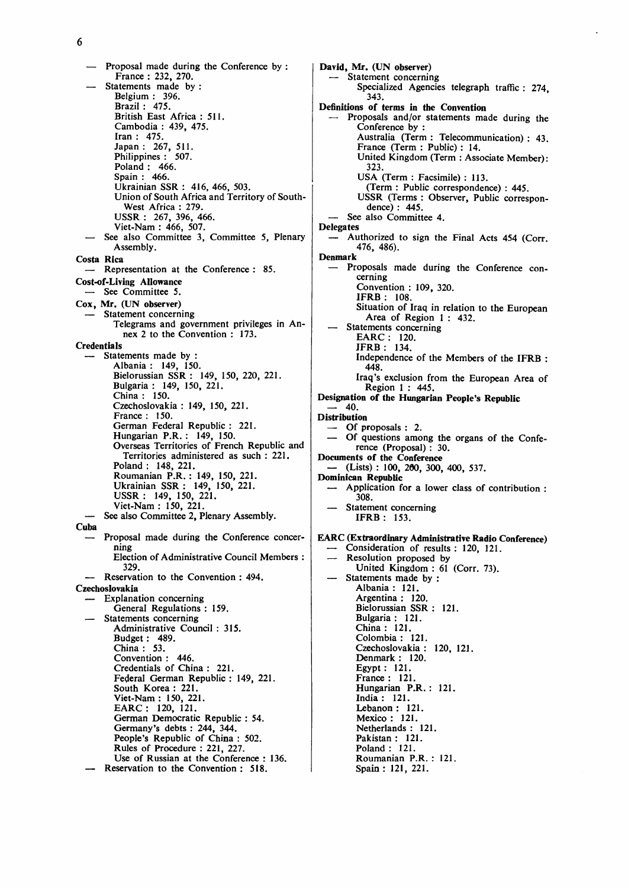6

**— Proposal made during the Conference by : France : 232, 270.**  Statements made by : **Belgium : 396. Brazil : 475. British East Africa : 511. Cambodia : 439, 475. Iran : 475. Japan : 267, 511. Philippines : 507. Poland : 466. Spain : 466. Ukrainian SSR : 416, 466, 503. Union of South Africa and Territory of South-West Africa : 279. USSR : 267, 396, 466. Viet-Nam : 466, 507. — See also Committee 3, Committee 5, Plenary Assembly. Costa Rica — Representation at the Conference : 85. Cost-of-Living Allowance — See Committee 5. Cox, Mr. (UN observer) — Statement concerning Telegrams and government privileges in Annex 2 to the Convention : 173. Credentials Statements made by Albania : 149, 150. Bielorussian SSR : 149, 150, 220, 221. Bulgaria : 149, 150, 221. China : 150. Czechoslovakia : 149, 150, 221. France : 150. German Federal Republic : 221. Hungarian P.R. : 149, 150. Overseas Territories of French Republic and Territories administered as such : 221. Poland : 148, 221. Roumanian P.R. : 149, 150, 221. Ukrainian SSR : 149, 150, 221. USSR : 149, 150, 221. Viet-Nam: 150, 221.**  See also Committee 2, Plenary Assembly. **Cuba — Proposal made during the Conference concerning Election of Administrative Council Members : 329. — Reservation to the Convention : 494. Czechoslovakia — Explanation concerning General Regulations : 159. — Statements concerning Administrative Council : 315. Budget: 489. China : 53. Convention : 446. Credentials of China : 221. Federal German Republic : 149, 221. South Korea : 221. Viet-Nam : 150, 221. EARC: 120, 121. German Democratic Republic : 54. Germany's debts : 244, 344. People's Republic of China : 502. Rules of Procedure : 221, 227. Use of Russian at the Conference : 136. — Reservation to the Convention : 518.** 

**David, Mr. (UN observer) — Statement concerning Specialized Agencies telegraph traffic : 274 343. Definitions of terms in the Convention — Proposals and/or statements made during the Conference by : Australia (Term : Telecommunication) : 43. France (Term : Public) : 14. United Kingdom (Term : Associate Member): 323. USA (Term : Facsimile) : 113. (Term : Public correspondence) : 445. USSR (Terms : Observer, Public correspondence) : 445. — See also Committee 4. Delegates — Authorized to sign the Final Acts 454 (Corr. 476, 486). Denmark — Proposals made during the Conference concerning Convention : 109, 320. IFRB : 108. Situation of Iraq in relation to the European Area of Region 1 : 432. — Statements concerning EARC : 120. IFRB : 134. Independence of the Members of the IFRB : 448. Iraq's exclusion from the European Area of Region 1 : 445. Designation of the Hungarian People's Republic — 40. Distribution — Of proposals : 2. — Of questions among the organs of the Conference (Proposal) : 30. Documents of the Conference — (Lists) : 100, 260, 300, 400, 537. Dominican Republic — Application for a lower class of contribution : 308. — Statement concerning IFRB : 153. EARC (Extraordinary Administrative Radio Conference) — Consideration of results : 120, 121. — Resolution proposed by United Kingdom : 61 (Corr. 73).**  Statements made by : **Albania : 121. Argentina : 120. Bielorussian SSR : 121. Bulgaria : 121. China : 121. Colombia : 121. Czechoslovakia: 120,121. Denmark : 120. Egypt: 121. France : 121. Hungarian P.R. : 121. India: 121. Lebanon: 121. Mexico : 121. Netherlands : 121. Pakistan : 121. Poland : 121. Roumanian P.R. : 121. Spain: 121, 221.**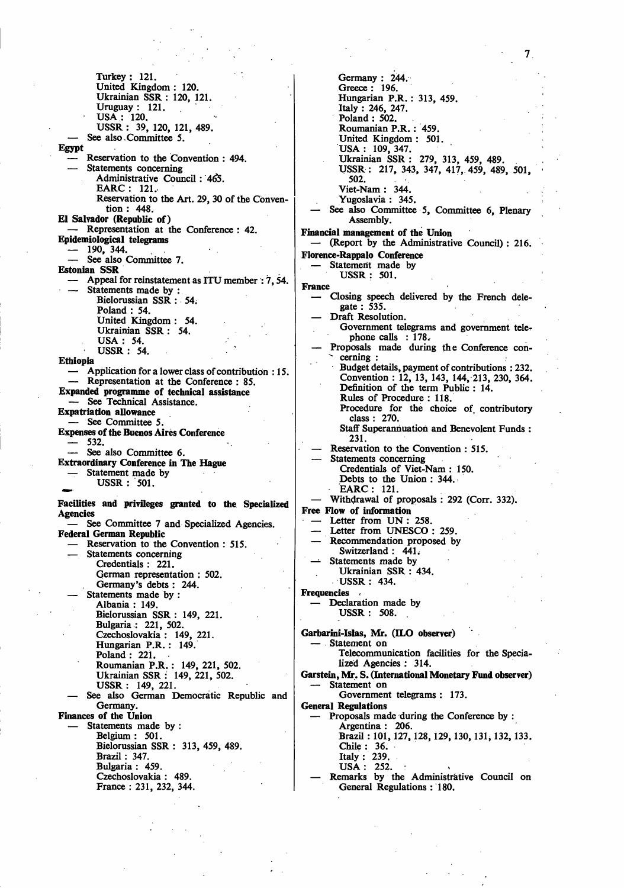Turkey : 121. United Kingdom : 120. Ukrainian SSR : 120, 121. Uruguay : 121. USA : 120. USSR : 39, 120, 121, 489. See also Committee 5. **Egypt**  Reservation to the Convention : 494. Statements concerning Administrative Council : 465. EARC : 121. Reservation to the Art. 29, 30 of the Convention : 448. **EI Salvador (Republic of)**  — Representation at the Conference : 42. **Epidemiological telegrams**   $-$  190, 344. See also Committee 7. Estonian **SSR**  Appeal for reinstatement as ITU member : 7, 54. Statements made by : Bielorussian SSR : 54. Poland : 54. United Kingdom : 54. Ukrainian SSR : 54. USA: 54. USSR : 54. **Ethiopia**  — Application for a lower class of contribution : 15. — Representation at the Conference : 85. **Expanded programme of technical assistance**  — See Technical Assistance. **Expatriation allowance**  See Committee 5. Expenses **of the Buenos Aires Conference**  — 532. — See also Committee 6. **Extraordinary Conference in The Hague**  Statement made by USSR : 501. **Facilities and privileges granted to the Specialized**  Agencies See Committee 7 and Specialized Agencies. **Federal German Republic**  Reservation to the Convention : 515. Statements concerning Credentials : 221. German representation : 502. Germany's debts : 244. Statements made by : Albania : 149. Bielorussian SSR : 149, 221. Bulgaria : 221, 502. Czechoslovakia : 149, 221. Hungarian P.R. : 149. Poland : 221. Roumanian P.R. : 149, 221, 502. Ukrainian SSR : 149, 221, 502. USSR : 149, 221. See also German Democratic Republic and Germany. Finances of **the Union**  Statements made by : Belgium: 501. Bielorussian SSR : 313, 459, 489. Brazil : 347. Bulgaria : 459. Czechoslovakia : 489.

France : 231, 232, 344.

Germany : 244. Greece : 196. Hungarian P.R. : 313, 459. Italy : 246, 247. Poland : 502. Roumanian P.R.: 459. United Kingdom : 501. USA : 109, 347. Ukrainian SSR : 279, 313, 459, 489. USSR: 217, 343, 347, 417, 459, 489, 501, 502. Viet-Nam : 344. Yugoslavia : 345. See also Committee 5, Committee 6, Plenary Assembly. **Financial management of the Union**  — (Report by the Administrative Council) : 216. **Statement** made by  $\frac{\text{muc}}{\text{HSSR}} \cdot 501$  $U$ **France**  Closing speech delivered by the French delegate : 535. Draft Resolution. Government telegrams and government tele-Government telegrams and government telephone calls : 178,<br>posals made during — Proposals made during the Conference con cerning :<br>Budget details, payment of contributions : 232. Convention : 12, 13, 143, 144, 213, 230, 364. Definition of the term Public : 14. Rules of Procedure : 118. Rules of Frocedure : 118.<br>Procedure for the choice Procedure for the choice of contributory class : 270.<br>aff Superann Staff Superannuation and Benevolent Funds :<br>231 231.<br>rvati — Reservation to the Convention : 515. Statements concerning<br>Credentials of Viet. Credentials Of Viet-Nam : 150.<br>Debts to the Union : 344. Debts to the Union : 344.<br>EARC : 121. EARC: 121.<br>ithdrawal of n — Withdrawal of proposals : 292 (Corr. 332). **Free Flow of information**  Letter from UN : 258.<br>Letter from UNESCO : 259. — Letter from UNESCO : 259. — Recommendation proposed by<br>Switzerland 1.441 Switzerland : 441.<br>Statements made by — Statements made by<br>VI Urninian SSD · 4 Ukiailian SSR : 434,<br>Iteed : *1*2*1* USSR : 434. **Frequencies** Declaration made by USSR : 508. **Garbarini-Islas, Mr. (ILO observer)**  — Statement on Telecommunication facilities for the Specialized Agencies : 314. **Garstein, Mr. S. (International Monetary Fund observer)**  Statement on Government telegrams : 173.<br>General Regulations **General Regulations**  — Proposals made during the Conference by : Argentina : 200.<br>Rrazil · 101 127 1 Brazil : 101, 127, 126, 129, 130, 131, 132, 133.<br>Chile : 36 Chile : 36.<br>Italy : 239.  $USA: 252.$ USA . 232. :<br>:marke hy the — Remarks by the Administrative Council on<br>Central Deculations : 190 General Regulations : 180.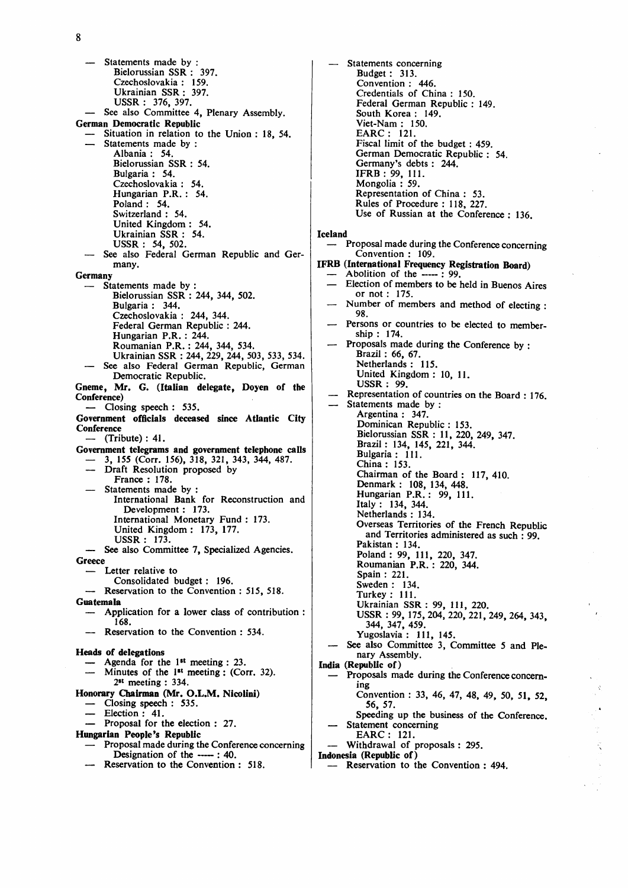**— Statements made by : Bielorussian SSR : 397. Czechoslovakia : 159. Ukrainian SSR : 397. USSR : 376, 397. — See also Committee 4, Plenary Assembly. German Democratic Republic — Situation in relation to the Union : 18, 54. — Statements made by : Albania : 54. Bielorussian SSR : 54. Bulgaria : 54. Czechoslovakia : 54. Hungarian P.R. : 54. Poland : 54. Switzerland : 54. United Kingdom : 54. Ukrainian SSR : 54. USSR : 54, 502.**  See also Federal German Republic and Ger**many. Germany — Statements made by : Bielorussian SSR : 244, 344, 502. Bulgaria : 344. Czechoslovakia : 244, 344. Federal German Republic : 244. Hungarian P.R. : 244. Roumanian P.R. : 244, 344, 534. Ukrainian SSR : 244, 229, 244, 503, 533, 534. — See also Federal German Republic, German Democratic Republic. Gneme, Mr. G. (Italian delegate, Doyen of the Conference) — Closing speech : 535. Government officials deceased since Atlantic City Conference — (Tribute) : 41. Government telegrams and government telephone calls — 3, 155 (Corr. 156), 318, 321, 343, 344, 487. — Draft Resolution proposed by France : 178.**  Statements made by : **International Bank for Reconstruction and Development : 173. International Monetary Fund : 173. United Kingdom : 173, 177. USSR : 173. — See also Committee 7, Specialized Agencies. Greece — Letter relative to Consolidated budget: 196. — Reservation to the Convention : 515, 518. Guatemala — Application for a lower class of contribution : 168. — Reservation to the Convention : 534. Heads of delegations — Agenda for the 1st meeting : 23.**  Minutes of the 1<sup>st</sup> meeting : (Corr. 32). **2" meeting : 334. Honorary Chairman (Mr. O.L.M. Nicolini) — Closing speech : 535. — Election : 41. — Proposal for the election : 27. Hungarian People's Republic** 

- **Proposal made during the Conference concerning Designation of the ----- : 40.**
- **Reservation to the Convention : 518.**

**— Statements concerning Budget : 313. Convention : 446. Credentials of China : 150. Federal German Republic : 149. South Korea : 149. Viet-Nam : 150. EARC : 121. Fiscal limit of the budget : 459. German Democratic Republic : 54. Germany's debts : 244. IFRB : 99, 111. Mongolia : 59. Representation of China : 53. Rules of Procedure : 118, 227. Use of Russian at the Conference : 136. Iceland — Proposal made during the Conference concerning Convention : 109. IFRB (International Frequency Registration Board) Abolition of the -----: 99. — Election of members to be held in Buenos Aires or not : 175. — Number of members and method of electing • 98.**  ship : 174 **ship : 174. EXECUTE 2008 CONFERENCE DURING MADE DURING THE CONFERENCE BY : Brazil : 66, 67. United Kingdom**: **USSR** : 99 **USSER : 99.**<br>Presentation **— Representation of countries on the Board : 176.**  Statements made by :<br>Argentina : 347. **Dominican Republic : 153.** Bielorussian SSR : 11, 220, 249, 347. Brazil: 134, 145, 221, 344. **Bulgaria: 111.** China: 153. **China : 153. Chairman of the Board : 117, 410. Denmark : 108, 134, 448. Hungarian P.R. : 99, 111. Italy : 134, 344. Netherlands : 134. Overseas Territories of the French Republic and Territories administered as such : 99. Pakistan : 134. Poland: 99, 111, 220, 347. Roumanian P.R. : 220, 344. Spain : 221. Sweden : 134. Turkey : 111. Ukrainian SSR : 99, 111, 220. USSR : 99, 175, 204, 220, 221, 249, 264, 343, 344, 347, 459. Yugoslavia : 111, 145.**  See also Committee 3, Committee 5 and Ple**nary Assembly. India (Republic of) — Proposals made during the Conference concerning Convention : 33, 46, 47, 48, 49, 50, 51, 52, 56, 57. Speeding up the business of the Conference. — Statement concerning EARC : 121. — Withdrawal of proposals : 295. Indonesia (Republic of)** 

**— Reservation to the Convention : 494.**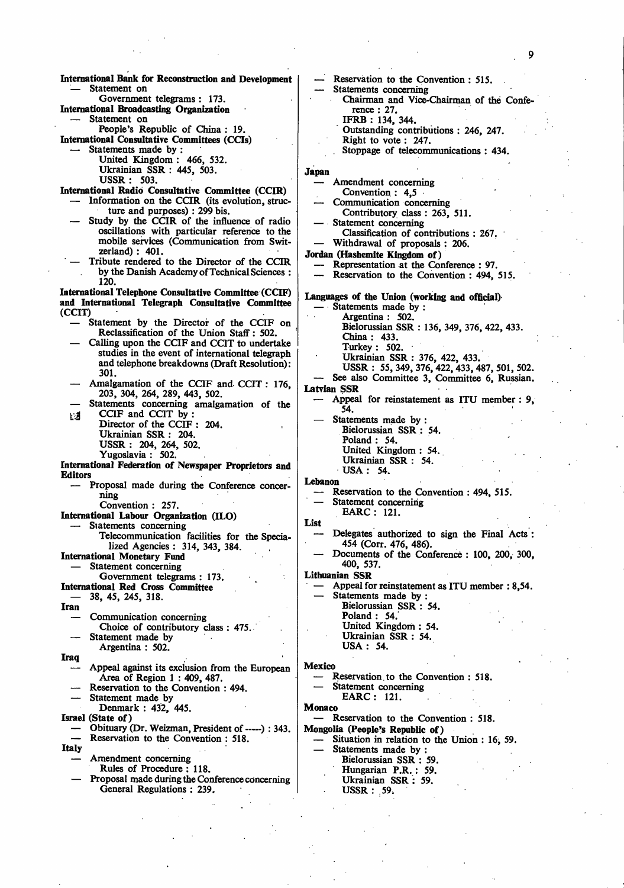**International Bank for Reconstruction and Development**  Statement on Government telegrams : 173. **International Broadcasting Organization**  Statement on People's Republic of China : 19. **International Consultative Committees** (CCIs) Statements made by : United Kingdom : 466, 532. Ukrainian SSR : 445, 503. USSR: 503. **International Radio Consultative Committee (CCIR)**  Information on the CCIR (its evolution, structure and purposes) : 299 bis. Study by the CCIR of the influence of radio oscillations with particular reference to the mobile services (Communication from Switzerland) : 401. — Tribute rendered to the Director of the CCIR by the Danish Academy of Technical Sciences : 120. **International Telephone Consultative Committee (CCIF) and International Telegraph Consultative Committee (CCIT)**  Statement by the Director of the CCIF on Reclassification of the Union Staff: 502. — Calling upon the CCIF and CCIT to undertake studies in the event of international telegraph and telephone breakdowns (Draft Resolution): 301. Amalgamation of the CCIF and CCIT : 176, 203, 304, 264, 289, 443, 502. Statements concerning amalgamation of the  $\Box$  CCIF and CCIT by : Director of the CCIF : 204. Ukrainian SSR : 204. USSR : 204, 264, 502. Yugoslavia : 502. **International Federation of Newspaper Proprietors and Editors**  — Proposal made during the Conference concerning Convention : 257. **International Labour Organization (ILO)**  Statements concerning Telecommunication facilities for the Specialized Agencies : 314, 343, 384. **International Monetary Fund**  Statement concerning Government telegrams : 173. **International Red Cross Committee —** 38, 45, 245, 318. **Iran**  — Communication concerning Choice of contributory class : 475. Statement made by Argentina : 502. **Iraq**  — Appeal against its exclusion from the European Area of Region 1 : 409, 487. Reservation to the Convention : 494. Statement made by Denmark : 432, 445. **Israel (State of)**  Obituary (Dr. Weizman, President of -----): 343. Reservation to the Convention : 518. **Italy**  — Amendment concerning Rules of Procedure : 118. — Proposal made during the Conference concerning General Regulations : 239. Reservation to the Convention : 515. Statements concerning Chairman and Vice-Chairman of the Conference : 27. IFRB : 134, 344. Outstanding contributions : 246, 247. Right to vote : 247. . Stoppage of telecommunications : 434. **Japan**  — Amendment concerning Convention : 4,5 Communication concerning Contributory class : 263, 511. Statement concerning Classification of contributions : 267. — Withdrawal of proposals : 206. **Jordan (Hashemite Kingdom of)**  — Representation at the Conference : 97. — Reservation to the Convention : 494, 515. **Languages of the Union (working and official)**  — Statements made by : Argentina : 502. Bielorussian SSR : 136, 349, 376, 422, 433. China: 433. Turkey : 502. Ukrainian SSR : 376, 422, 433. USSR : 55, 349, 376, 422, 433, 487, 501, 502. — See also Committee 3, Committee 6, Russian. **Latvian SSR**  — Appeal for reinstatement as ITU member : 9, 54. Statements made by : Bielorussian SSR : 54. Poland : 54. United Kingdom : 54. Ukrainian SSR : 54. USA: 54. **Lebanon**  Reservation to the Convention : 494, 515. Statement concerning EARC: 121. **List**  — Delegates authorized to sign the Final Acts : 454 (Corr. 476, 486). — Documents of the Conference : **100,** 200, 300, 400, 537. **Lithuanian SSR**  Appeal for reinstatement as ITU member : 8,54. Statements made by : Bielorussian SSR : 54. Poland : 54. United Kingdom: 54. Ukrainian SSR : 54. USA : 54. **Mexico**  Reservation to the Convention : 518. Statement concerning EARC: 121. **Monaco**  — Reservation to the Convention : 518. **Mongolia (People's Republic of)**  Situation in relation to the Union : 16, 59. Statements made by : Bielorussian SSR : 59. Hungarian P.R. : 59. Ukrainian SSR: 59. USSR : 59.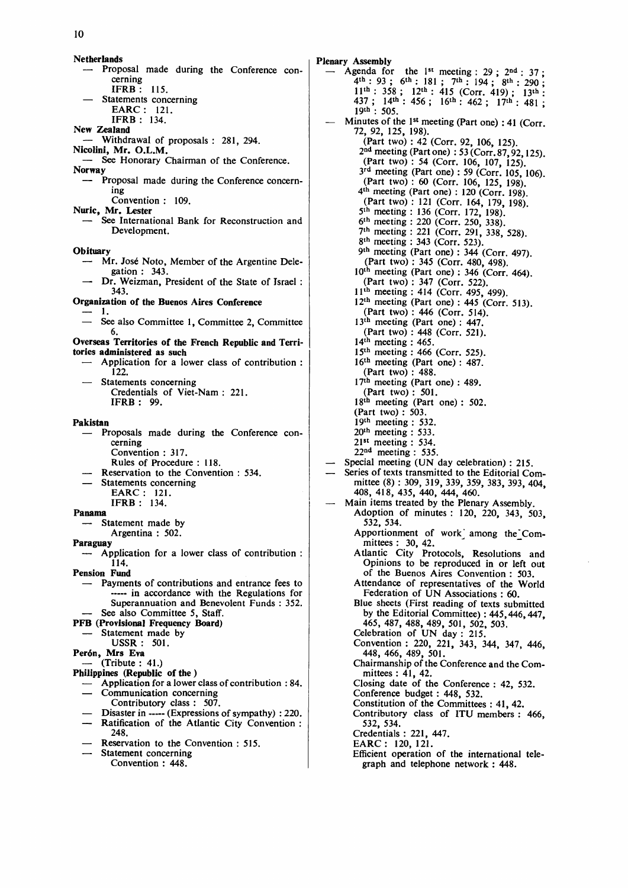**Netherlands**  — Proposal made during the Conference concerning IFRB : 115. — Statements concerning EARC : 121. IFRB : 134. New **Zealand**  — Withdrawal of proposals : 281, 294. **Nicolini, Mr. O.L.M.**  See Honorary Chairman of the Conference. **Norway**  — Proposal made during the Conference concerning Convention : 109. **Nuric, Mr. Lester**  See International Bank for Reconstruction and Development. **Obituary**  — Mr. Jose Noto, Member of the Argentine Delegation : 343. Dr. Weizman, President of the State of Israel : 343. **Organization of the Buenos** Aires Conference — 1. — See also Committee 1, Committee 2, Committee 6. **Overseas Territories of the French Republic and Territories administered as such**  — Application for a lower class of contribution : 122. Statements concerning Credentials of Viet-Nam : 221. IFRB : 99. **Pakistan**  — Proposals made during the Conference concerning Convention : 317. Rules of Procedure : 118. Reservation to the Convention : 534. Statements concerning EARC : 121. IFRB : 134. **Panama**  Statement made by Argentina : 502. **Paraguay**  Application for a lower class of contribution : 114. **Pension Fund**  — Payments of contributions and entrance fees to ... in accordance with the Regulations for Superannuation and Benevolent Funds : 352. See also Committee 5, Staff. **PFB (Provisional Frequency Board)**  Statement made by USSR: 501. **Per6n, Mrs Eva**  (Tribute : 41.) **Philippines (Republic of the** ) — Application for a lower class of contribution : 84. Communication concerning Contributory class : 507. Disaster in ----- (Expressions of sympathy) : 220. Ratification of the Atlantic City Convention : 248. Reservation to the Convention : 515. Statement concerning

Convention : 448.

Plenary Assembly

 $-$  Agenda for the 1<sup>st</sup> meeting : 29 ; 2<sup>nd</sup> : 37 ;  $4^{\text{th}}$ : 93; 6<sup>th</sup>: 181; 7<sup>th</sup>: 194; 8<sup>th</sup>: 290; 11<sup>th</sup>: 358; 12<sup>th</sup>: 415 (Corr. 419); 13<sup>th</sup>: 437; 14<sup>th</sup>: 456; 16<sup>th</sup>: 462; 17<sup>th</sup>: 481; 19<sup>th</sup>: 505. — Minutes of the 1st meeting (Part one) : 41 (Corr 72, 92, 125, 198). (Part two) : 42 (Corr. 92, 106, 125). 2 nd meeting (Part one) : 53 (Corr. 87,92,125). (Part two) : 54 (Corr. 106, 107, 125).  $3<sup>rd</sup>$  meeting (Part one): 59 (Corr. 105, 106). (Part two) : 60 (Corr. 106, 125, 198). 4 th meeting (Part one) : 120 (Corr. 198) (Part two) : 121 (Corr. 164, 179, 198). 5<sup>th</sup> meeting : 136 (Corr. 172, 198). 6 th meeting : 220 (Corr. 250, 338). 7 th meeting : 221 (Corr. 291, 338, 528). 8<sup>th</sup> meeting : 343 (Corr. 523). 9 th meeting (Part one) : 344 (Corr. 497) (Part two) : 345 (Corr. 480, 498).  $10<sup>th</sup>$  meeting (Part one) : 346 (Corr. 464). (Part two) : 347 (Corr. 522). 11th meeting : 414 (Corr. 495, 499).  $12<sup>th</sup>$  meeting (Part one) : 445 (Corr. 513). (Part two) : 446 (Corr. 514). 13<sup>th</sup> meeting (Part one): 447. (Part two) : 448 (Corr. 521).  $14<sup>th</sup>$  meeting : 465. 15th meeting : 466 (Corr. 525). 16th meeting (Part one) : 487. (Part two) : 488.  $17<sup>th</sup>$  meeting (Part one) : 489. (Part two) : 501. 18<sup>th</sup> meeting (Part one): 502. (Part two) : 503. 19th meeting : 532.  $20<sup>th</sup>$  meeting : 533. 21st meeting : 534. 22nd meeting : 535. Special meeting (UN day celebration) : 215. Series of texts transmitted to the Editorial Committee (8) : 309, 319, 339, 359, 383, 393, 404, 408, 418, 435, 440, 444, 460. Main items treated by the Plenary Assembly. Adoption of minutes : 120, 220, 343, 503, 532, 534. Apportionment of work' among the'Committees : 30, 42. Atlantic City Protocols, Resolutions and Opinions to be reproduced in or left out of the Buenos Aires Convention : 503. Attendance of representatives of the World Federation of UN Associations : 60. Blue sheets (First reading of texts submitted by the Editorial Committee): 445, 446, 447, 465, 487, 488, 489, 501, 502, 503. Celebration of UN day : 215. Convention : 220, 221, 343, 344, 347, 446, 448, 466, 489, 501. Chairmanship of the Conference and the Committees : 41, 42. Closing date of the Conference : 42, 532. Conference budget : 448, 532. Constitution of the Committees : 41, 42. Contributory class of ITU members : 466, 532, 534. Credentials : 221, 447. EARC: 120, 121. Efficient operation of the international telegraph and telephone network : 448.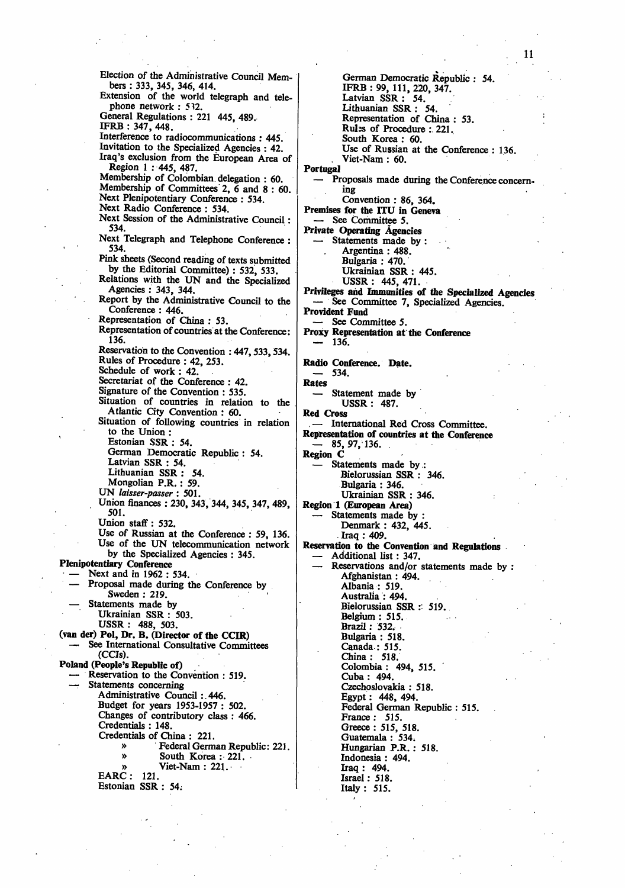Election of the Administrative Council Members : 333, 345, 346, 414. Extension of the world telegraph and telephone network : 512. General Regulations : 221 445, 489. IFRB : 347, 448. Interference to radiocommunications : 445. Invitation to the Specialized Agencies : 42. Iraq's exclusion from the European Area of Region 1 : 445, 487. Membership of Colombian delegation : 60. Membership of Committees 2,  $\vec{6}$  and 8 : 60. Next Plenipotentiary Conference : 534. Next Radio Conference : 534. Next Session of the Administrative Council: 534. Next Telegraph and Telephone Conference : 534. Pink sheets (Second reading of texts submitted by the Editorial Committee) : 532, 533. Relations with the UN and the Specialized Agencies : 343, 344. Report by the Administrative Council to the Conference : 446. Representation of China : 53. Representation of countries at the Conference: 136. Reservation to the Convention :  $447,533,534$ . Rules of Procedure : 42, 253. Schedule of work : 42. Secretariat of the Conference : 42. Signature of the Convention : 535. Situation of countries in relation to the Atlantic City Convention : 60. Situation of following countries in relation to the Union : Estonian SSR : 54. German Democratic Republic : 54. Latvian SSR : 54. Lithuanian SSR : 54. Mongolian P.R. : 59. **UN** *laisser-passer* **: 501.**  Union finances : 230, 343, 344, 345, 347, 489, 501. Union staff : 532. Use of Russian at the Conference : 59, 136. Use of the UN telecommunication network by the Specialized Agencies : 345. **Plenipotentiary Conference**  — Next and in 1962 : 534. — Proposal made during the Conference by Sweden : 219. Statements made by Ukrainian SSR : 503. USSR : 488, 503. **(van der) Pol, Dr. B. (Director of the CCIR)**  See International Consultative Committees (CCIs). **Poland (People's Republic of)**  Reservation to the Convention : 519. Statements concerning Administrative Council :.446. Budget for years 1953-1957 : 502. Changes of contributory class : 466. Credentials : 148. Credentials of China : 221. » Federal German Republic: 221. South Korea : 221. Viet-Nam :  $221.$ EARC : 121. Estonian SSR : 54:

German Democratic Republic : 54. IFRB : 99, 111, 220, 347. Latvian SSR : 54. Lithuanian SSR : 54. Representation of China : 53. Rubs of Procedure : 221. South Korea : 60. Use of Russian at the Conference : 136. . Viet-Nam : 60. **Portugal**  — Proposals made during the Conference concerning Convention : 86, 364. Premises **for the** ITU in Geneva — See Committee 5. **Private Operating Agencies**  Statements made by : Argentina : 488. Bulgaria : 470. Ukrainian SSR : 445. USSR : 445, 471. **Privileges ahd Immunities of the Specialized Agencies**  See Committee 7, Specialized Agencies. **Provident Fund**  — See Committee 5. **Proxy Representation at the Conference — 136. Radio Conference. Date. —** 534. **Rates**  Statement made by USSR: 487. **Red** Cross .— International Red Cross Committee. **Representation of countries at the Conference**  — 85,97,136. . **Region C**  Statements made by: Bielorussian SSR : 346. Bulgaria : 346. Ukrainian SSR : 346. **Region 1 (European Area)**  Statements made by Denmark : 432, 445. . Iraq : 409. **Reservation to the Convention and Regulations**  — Additional list: 347. Reservations and/or statements made by : Afghanistan : 494. Albania : 519. Australia : 494. Bielorussian SSR : 519. Belgium : 515. Brazil : 532, Bulgaria : 518. Canada : 515. China : 518. Colombia : 494, 515. Cuba : 494. Czechoslovakia : 518. Egypt: 448, 494. Federal German Republic : 515. France : 515. Greece : 515, 518. Guatemala : 534. Hungarian P.R.: 518. Indonesia : 494. Iraq : 494. Israel: 518. Italy : 515.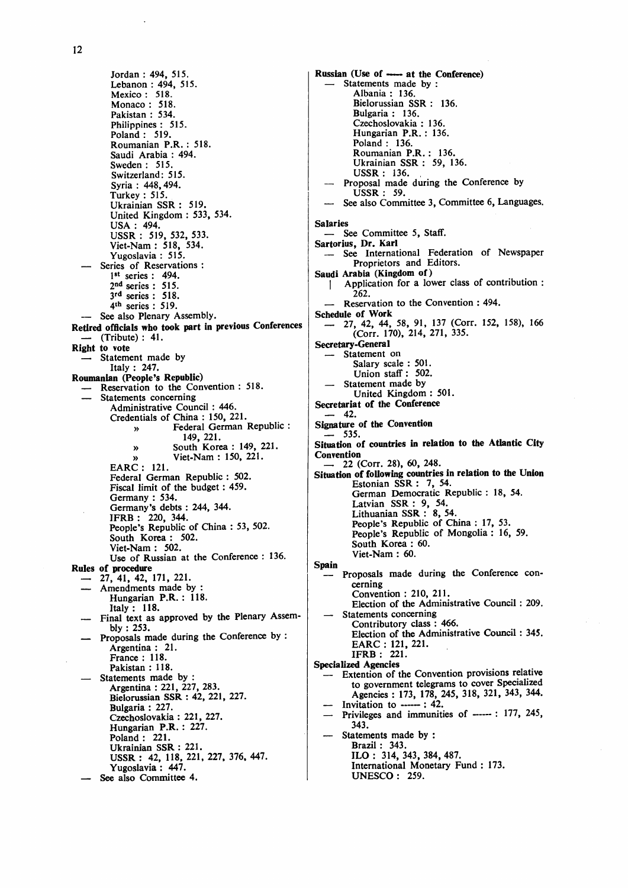**Jordan : 494, 515. Lebanon : 494, 515. Mexico : 518. Monaco : 518. Pakistan : 534. Philippines : 515. Poland : 519. Roumanian P.R. : 518. Saudi Arabia : 494. Sweden : 515. Switzerland: 515. Syria : 448,494. Turkey : 515. Ukrainian SSR : 519. United Kingdom : 533, 534. USA : 494. USSR : 519, 532, 533. Viet-Nam : 518, 534. Yugoslavia : 515. — Series of Reservations : 1 st series : 494. 2 nd series : 515. 3 rd series : 518. 4 th series : 519. — See also Plenary Assembly. Retired officials who took part in previous Conferences — (Tribute) : 41. Right to vote — Statement made by Italy : 247. Roumanian (People's Republic) — Reservation to the Convention : 518. — Statements concerning Administrative Council : 446. Credentials of China : 150, 221. » Federal German Republic : 149, 221. » South Korea : 149, 221. » Viet-Nam : 150, 221. EARC : 121. Federal German Republic : 502. Fiscal limit of the budget: 459. Germany : 534. Germany's debts : 244, 344. IFRB : 220, 344. People's Republic of China : 53, 502. South Korea : 502. Viet-Nam : 502. Use of Russian at the Conference : 136. Rules of procedure — 27, 41, 42, 171, 221. — Amendments made by : Hungarian P.R. : 118. Italy: 118. a** Final text as approved by the Plenary Assembly 1990-1991 bly : 253.<br>**Proposals made during the Conference by :** Argentina : 21. **France: 118. Pakistan: 118. Pakist is set of Statements made by:** Argentina : 221, 227, 283. **Argentina : 221, 227, 283. Bielorussian SSR : 42, 221, 227. Bulgaria : 227. Hungarian P.R.: 227. Poland**: 221. **Poland : 221. Ukrainian SSR : 221. USSR : 42, 118, 221, 227, 376, 447. Yugoslavia : 447. — See also Committee 4.** 

**Russian (Use of ----- at the Conference) — Statements made by : Albania : 136. Bielorussian SSR : 136. Bulgaria : 136. Czechoslovakia : 136. Hungarian P.R. : 136. Poland : 136. Roumanian P.R. : 136. Ukrainian SSR : 59, 136. USSR : 136. — Proposal made during the Conference by USSR : 59. — See also Committee 3, Committee 6, Languages. Salaries — See Committee 5, Staff. Sartorius, Dr. Karl — See International Federation of Newspaper Proprietors and Editors. Saudi Arabia (Kingdom of) | Application for a lower class of contribution : 262. — Reservation to the Convention : 494. Schedule of Work — 27, 42, 44, 58, 91, 137 (Corr. 152, 158), 166 (Corr. 170), 214, 271, 335. Secretary-General — Statement on Salary scale : 501.**  Union stati : 502. **— Statement made by United Kingdom : 501. Secretariat of the Conference**<br>  $-42$ . **— 42. Signature of the Convention — 535. Situation of countries in relation to the Atlantic City Convention**<br>
— 22 (Corr. 28), 60, 248. **\_ 22 (Corr. 28), 60, 248. Situation of following countries in relation to the Union Estonian SSR : 7, 54.**  German Democratic Republic : 18, 54. **Latvian SSR : 9, 54. Lithuanian SSR : 8, 54. People's Republic of China : 17, 53. People's Republic of Mongolia : 16, 59. South Korea : 60. Viet-Nam : 60. Spain — Proposals made during the Conference concerning Convention : 210, 211. Election of the Administrative Council : 209. — Statements concerning Contributory class : 466. Election of the Administrative Council : 345. EARC : 121, 221. IFRB : 221. Specialized Agencies — Extention of the Convention provisions relative to government telegrams to cover Specialized Agencies : 173, 178, 245, 318, 321, 343, 344.**  — Invitation to ----- : 42. — Privileges and immunities of **-----** . 177, 245, **343.**  Statements made by : **Brazil : 343. ILO : 314, 343, 384, 487. International Monetary Fund : 173. UNESCO: 259.**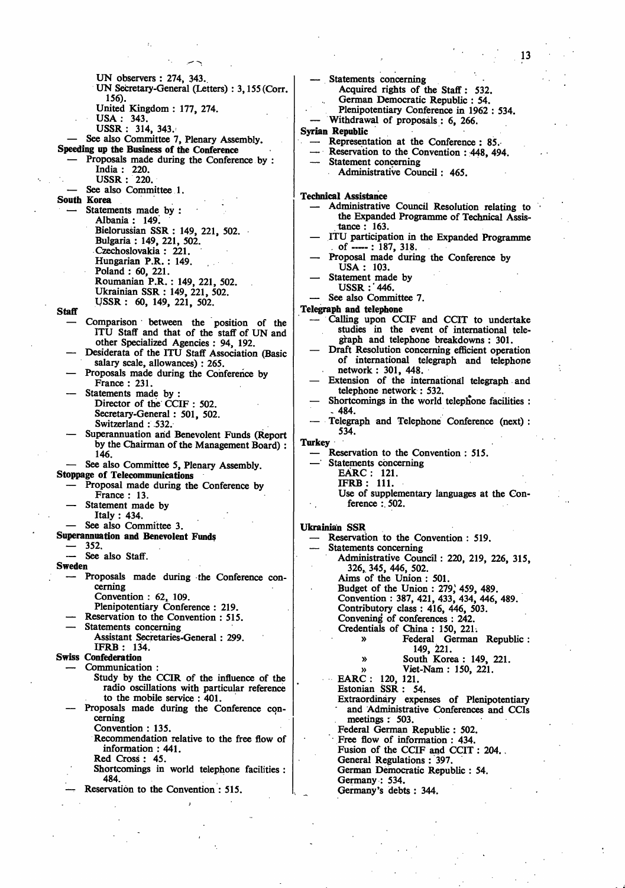UN observers : 274, 343.. UN Secretary-General (Letters) : 3,155 (Corr. 156). United Kingdom : 177, 274. USA: 343. USSR : 314, 343. See also Committee 7, Plenary Assembly. Speeding **up the Business of the Conference**  Proposals made during the Conference by : India : 220. USSR : 220. See also Committee 1. **South Korea**  Statements made by : Albania : 149. Bielorussian SSR : 149, 221, 502. Bulgaria : 149, 221, 502. Czechoslovakia : 221. Hungarian P.R. : 149. Poland : 60, 221. Roumanian P.R. : 149, 221, 502. Ukrainian SSR : 149, 221, 502. USSR : 60, 149, 221, 502. **Staff**  — Comparison between the position of the ITU Staff and that of the staff of UN and other Specialized Agencies : 94, 192. — Desiderata of the ITU Staff Association (Basic salary scale, allowances) : 265. — Proposals made during the Conference by France : 231. Statements made by : Director of the CCIF : 502. Secretary-General: 501, 502. Switzerland : 532. Superannuation and Benevolent Funds (Report by the Chairman of the Management Board) : 146. See also Committee 5, Plenary Assembly. **Stoppage of** Telecommunications — Proposal made during the Conference by France : 13. Statement made by Italy : 434. — See also Committee 3. **Superannuation and Benevolent Funds**  — 352. See also Staff. **Sweden**  — Proposals made during the Conference concerning Convention : 62, 109. Plenipotentiary Conference : 219. Reservation to the Convention : 515. Statements concerning Assistant Secretaries-General : 299. IFRB : 134. **Swiss Confederation**  Communication : Study by the CCIR of the influence of the radio oscillations with particular reference to the mobile service : 401. — Proposals made during the Conference concerning Convention : 135. Recommendation relative to the free flow of information : 441. Red Cross : 45. Shortcomings in world telephone facilities : 484. Reservation to the Convention : 515. Statements concerning Acquired rights of the Staff : 532. German Democratic Republic : 54. **Turkey Ukrainian SSR** 

Plenipotentiary Conference in 1962 : 534. — Withdrawal of proposals : 6, 266. **Syrian Republic**  Representation at the Conference : 85. Reservation to the Convention : 448, 494. Statement concerning Administrative Council: 465. **Technical Assistance**  Administrative Council Resolution relating to the Expanded Programme of Technical Assistance : 163. ITU participation in the Expanded Programme of ----- : 187, 318. — Proposal made during the Conference by USA : 103.  $-$  Statement made by USSR :' 446. See also Committee 7. **Telegraph and telephone**  — Calling upon CCIF and CCIT to undertake studies in the event of international telegraph and telephone breakdowns : 301. Draft Resolution concerning efficient operation of international telegraph and telephone network : 301, 448. — Extension of the international telegraph and telephone network : 532. Shortcomings in the world telephone facilities : - 484. — Telegraph and Telephone Conference (next) : 534. Reservation to the Convention : 515. Statements concerning EARC : 121. IFRB : 111. Use of supplementary languages at the Conference :. 502. Reservation to the Convention : 519. Statements concerning Administrative Council : 220, 219, 226, 315, 326,. 345, 446, 502. Aims of the Union : 501. Budget of the Union : 279, 459, 489. Convention : 387, 421, 433, 434, 446, 489. Contributory class : 416, 446, 503. Convening of conferences : 242. Credentials of China : 150, 221. » Federal German Republic : 149, 221. » South Korea : 149, 221. » Viet-Nam : 150, 221. EARC : 120, 121. Estonian SSR : 54. Extraordinary expenses of Plenipotentiary and Administrative Conferences and CCIs meetings : 503. Federal German Republic : 502. Free flow of information : 434. Fusion of the CCIF and CCIT : 204. General Regulations : 397. German Democratic Republic : 54.

- Germany : 534.
- Germany's debts : 344.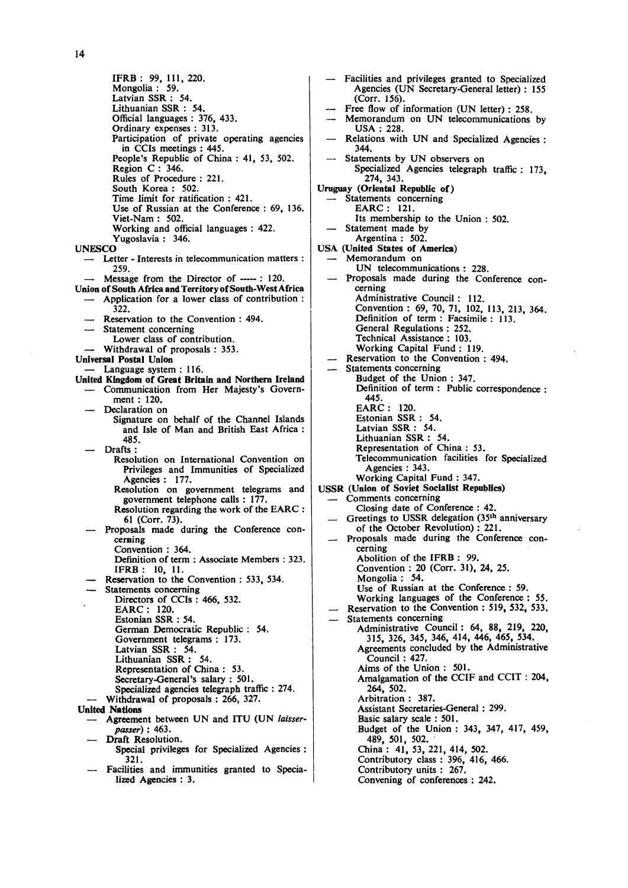**IFRB : 99, 111, 220. Mongolia : 59. Latvian SSR : 54. Lithuanian SSR : 54. Official languages : 376, 433. Ordinary expenses : 313. Participation of private operating agencies in CCIs meetings : 445. People's Republic of China : 41, 53, 502. Region C : 346. Rules of Procedure : 221. South Korea : 502. Time limit for ratification : 421. Use of Russian at the Conference : 69, 136. Viet-Nam : 502. Working and official languages : 422. Yugoslavia : 346. UNESCO — Letter - Interests in telecommunication matters : 259. Message from the Director of ----- : 120. Union of South AfricaandTerritoryof South-West Africa — Application for a lower class of contribution : 322. — Reservation to the Convention : 494. — Statement concerning Lower class of contribution. — Withdrawal of proposals : 353. Universal Postal Union — Language system : 116. United Kingdom of Great Britain and Northern Ireland — Communication from Her Majesty's Government : 120. — Declaration on Signature on behalf of the Channel Islands and Isle of Man and British East Africa : 485. — Drafts : Resolution on International Convention on Privileges and Immunities of Specialized Agencies : 177. Resolution on government telegrams and government telephone calls : 177. Resolution regarding the work of the EARC : 61 (Corr. 73). — Proposals made during the Conference concerning Convention : 364. Definition of term : Associate Members : 323. IFRB : 10, 11. — Reservation to the Convention : 533, 534. — Statements concerning Directors of CCIs : 466, 532. EARC: 120. Estonian SSR : 54. German Democratic Republic : 54. Government telegrams : 173. Latvian SSR : 54. Lithuanian SSR : 54. Representation of China : 53. Secretary-General's salary : 501. Specialized agencies telegraph traffic : 274. — Withdrawal of proposals : 266, 327. United Nations — Agreement between UN and ITU (UN** *laisserpasser)* **: 463. — Draft Resolution. Special privileges for Specialized Agencies : 321.** 

**— Facilities and immunities granted to Specialized Agencies : 3.** 

**— Facilities and privileges granted to Specialized Agencies (UN Secretary-General letter) : 155 (Corr. 156).**  Free flow of information (UN letter) : 258. **— Memorandum on UN telecommunications by USA : 228. — Relations with UN and Specialized Agencies : 344. — Statements by UN observers on Specialized Agencies telegraph traffic : 173, 274, 343. Uruguay (Oriental Republic of) — Statements concerning EARC : 121. Its membership to the Union : 502. — Statement made by Argentina : 502. USA (United States of America) — Memorandum on UN telecommunications : 228. — Proposals made during the Conference concerning Administrative Council : 112. Convention : 69, 70, 71, 102, 113, 213, 364. Definition of term : Facsimile : 113. General Regulations : 252. Technical Assistance : 103. Working Capital Fund : 119. — Reservation to the Convention : 494. — Statements concerning Budget of the Union : 347. Definition of term : Public correspondence : 445. EARC : 120. Estonian SSR : 54. Latvian SSR : 54. Lithuanian SSR : 54. Representation of China : 53. Telecommunication facilities for Specialized Agencies : 343. Working Capital Fund : 347. USSR (Union of Soviet Socialist Republics) — Comments concerning Closing date of Conference : 42. — Greetings to USSR delegation (35th anniversary of the October Revolution): 221. — Proposals made during the Conference concerning Abolition of the IFRB : 99. Convention : 20 (Corr. 31), 24, 25. Mongolia : 54. Use of Russian at the Conference : 59. Working languages of the Conference : 55. Reservation to the Convention : 519, 532, 533. — Statements concerning Administrative Council: 64, 88, 219, 220, 315, 326, 345, 346, 414, 446, 465, 534. Agreements concluded by the Administrative Council : 427. Aims of the Union : 501. Amalgamation of the CCIF and CCIT : 204, 264, 502. Arbitration : 387. Assistant Secretaries-General : 299. Basic salary scale : 501. Budget of the Union : 343, 347, 417, 459, 489, 501, 502. China : 41, 53, 221, 414, 502. Contributory class : 396, 416, 466. Contributory units : 267. Convening of conferences : 242.**